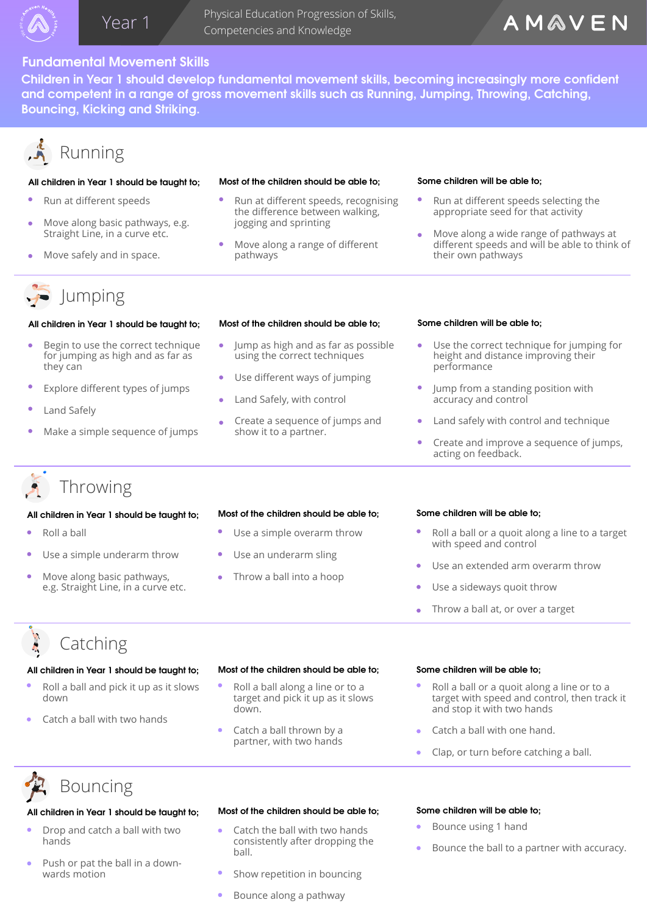

 Physical Education Progression of Skills, Year 1 Competencies and Knowledge

## **Fundamental Movement Skills**

Children in Year 1 should develop fundamental movement skills, becoming increasingly more confident **and competent in a range of gross movement skills such as Running, Jumping, Throwing, Catching, Bouncing, Kicking and Striking.** 

# Running

## **All children in Year 1 should be taught to; Most of the children should be able to;**

- Run at different speeds
- Move along basic pathways, e.g. Straight Line, in a curve etc.
- Move safely and in space.

- Run at different speeds, recognising the difference between walking, jogging and sprinting
- Move along a range of different pathways

### **Some children will be able to;**

- Run at different speeds selecting the appropriate seed for that activity
- Move along a wide range of pathways at different speeds and will be able to think of their own pathways

# $\implies$  Jumping

## **All children in Year 1 should be taught to; Most of the children should be able to;**

- Begin to use the correct technique for jumping as high and as far as they can
- Explore different types of jumps
- Land Safely
- Make a simple sequence of jumps

- Jump as high and as far as possible using the correct techniques
- Use different ways of jumping
- Land Safely, with control
- Create a sequence of jumps and  $\bullet$ show it to a partner.

### **Some children will be able to;**

- Use the correct technique for jumping for height and distance improving their performance
- Jump from a standing position with accuracy and control
- Land safely with control and technique
- Create and improve a sequence of jumps, acting on feedback.

## Throwing

## **All children in Year 1 should be taught to; Most of the children should be able to;**

- Roll a ball
- Use a simple underarm throw
- Move along basic pathways, e.g. Straight Line, in a curve etc.

- Use a simple overarm throw
- Use an underarm sling
- Throw a ball into a hoop

### **Some children will be able to;**

- Roll a ball or a quoit along a line to a target with speed and control
- Use an extended arm overarm throw
- Use a sideways quoit throw
- Throw a ball at, or over a target

# Catching

- Roll a ball and pick it up as it slows down
- Catch a ball with two hands

### **All children in Year 1 should be taught to; Most of the children should be able to;**

- Roll a ball along a line or to a target and pick it up as it slows down.
- Catch a ball thrown by a partner, with two hands

### **Some children will be able to;**

- Roll a ball or a quoit along a line or to a target with speed and control, then track it and stop it with two hands
- Catch a ball with one hand.
- Clap, or turn before catching a ball.

# Bouncing

### **All children in Year 1 should be taught to; Most of the children should be able to;**

- Drop and catch a ball with two hands
- Push or pat the ball in a downwards motion

# Catch the ball with two hands

- consistently after dropping the ball.
	- Show repetition in bouncing
- Bounce along a pathway

### **Some children will be able to;**

- Bounce using 1 hand
- Bounce the ball to a partner with accuracy.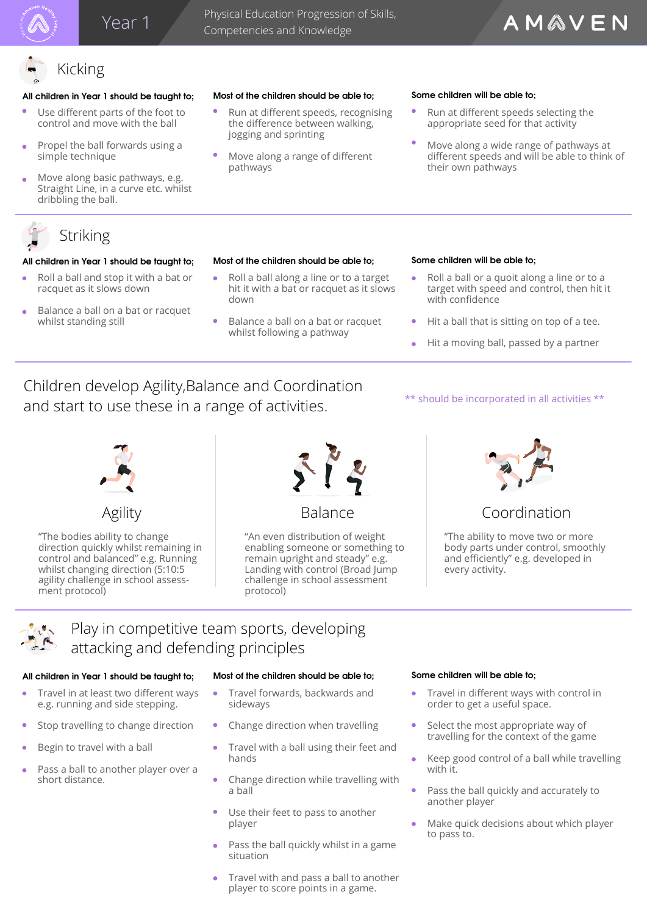## Year 1

 Physical Education Progression of Skills, Competencies and Knowledge

## AMAVEN

### **All children in Year 1 should be taught to; Most of the children should be able to;**

Kicking

- Use different parts of the foot to control and move with the ball
- Propel the ball forwards using a simple technique
- Move along basic pathways, e.g. Straight Line, in a curve etc. whilst dribbling the ball.



### **All children in Year 1 should be taught to; Most of the children should be able to;**

- Roll a ball and stop it with a bat or racquet as it slows down
- Balance a ball on a bat or racquet whilst standing still

- Run at different speeds, recognising the difference between walking, jogging and sprinting
- Move along a range of different pathways

### **Some children will be able to;**

- Run at different speeds selecting the appropriate seed for that activity
- Move along a wide range of pathways at different speeds and will be able to think of their own pathways

- Roll a ball along a line or to a target hit it with a bat or racquet as it slows down
- Balance a ball on a bat or racquet whilst following a pathway

### **Some children will be able to;**

- Roll a ball or a quoit along a line or to a ò target with speed and control, then hit it with confidence
- Hit a ball that is sitting on top of a tee.
- Hit a moving ball, passed by a partner

\*\* should be incorporated in all activities \*\*

## Children develop Agility,Balance and Coordination and start to use these in a range of activities.



### "The bodies ability to change direction quickly whilst remaining in control and balanced" e.g. Running whilst changing direction (5:10:5 agility challenge in school assessment protocol)



"An even distribution of weight enabling someone or something to remain upright and steady" e.g. Landing with control (Broad Jump challenge in school assessment protocol)



## Agility Balance Coordination

"The ability to move two or more body parts under control, smoothly and efficiently" e.g. developed in every activity.



## Play in competitive team sports, developing attacking and defending principles

## **All children in Year 1 should be taught to; Most of the children should be able to;**

- Travel in at least two different ways e.g. running and side stepping.
- Stop travelling to change direction
- Begin to travel with a ball
- Pass a ball to another player over a short distance.

- Travel forwards, backwards and sideways
- Change direction when travelling
- Travel with a ball using their feet and hands
- Change direction while travelling with a ball
- Use their feet to pass to another player
- Pass the ball quickly whilst in a game situation
- Travel with and pass a ball to another player to score points in a game.

### **Some children will be able to;**

- Travel in different ways with control in order to get a useful space.
- Select the most appropriate way of travelling for the context of the game
- Keep good control of a ball while travelling ò with it.
- Pass the ball quickly and accurately to another player
- Make quick decisions about which player to pass to.